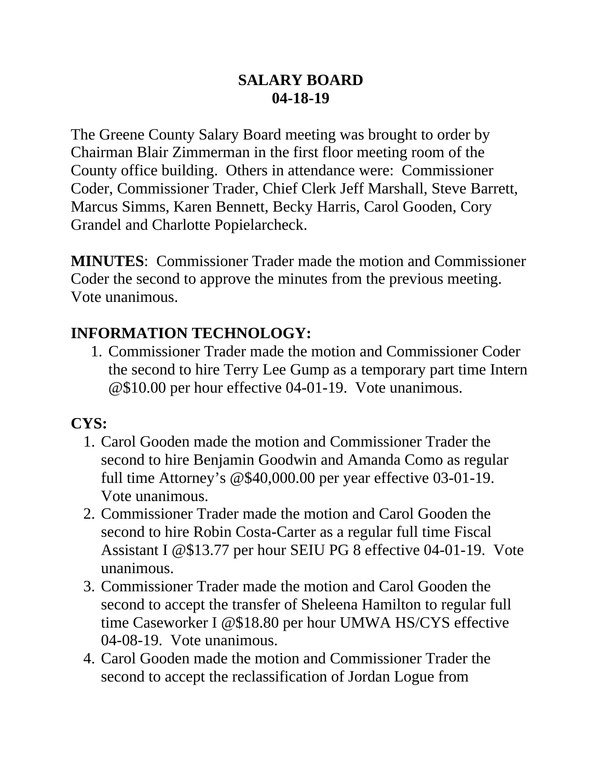#### **SALARY BOARD 04-18-19**

The Greene County Salary Board meeting was brought to order by Chairman Blair Zimmerman in the first floor meeting room of the County office building. Others in attendance were: Commissioner Coder, Commissioner Trader, Chief Clerk Jeff Marshall, Steve Barrett, Marcus Simms, Karen Bennett, Becky Harris, Carol Gooden, Cory Grandel and Charlotte Popielarcheck.

**MINUTES**: Commissioner Trader made the motion and Commissioner Coder the second to approve the minutes from the previous meeting. Vote unanimous.

## **INFORMATION TECHNOLOGY:**

1. Commissioner Trader made the motion and Commissioner Coder the second to hire Terry Lee Gump as a temporary part time Intern @\$10.00 per hour effective 04-01-19. Vote unanimous.

## **CYS:**

- 1. Carol Gooden made the motion and Commissioner Trader the second to hire Benjamin Goodwin and Amanda Como as regular full time Attorney's @\$40,000.00 per year effective 03-01-19. Vote unanimous.
- 2. Commissioner Trader made the motion and Carol Gooden the second to hire Robin Costa-Carter as a regular full time Fiscal Assistant I @\$13.77 per hour SEIU PG 8 effective 04-01-19. Vote unanimous.
- 3. Commissioner Trader made the motion and Carol Gooden the second to accept the transfer of Sheleena Hamilton to regular full time Caseworker I @\$18.80 per hour UMWA HS/CYS effective 04-08-19. Vote unanimous.
- 4. Carol Gooden made the motion and Commissioner Trader the second to accept the reclassification of Jordan Logue from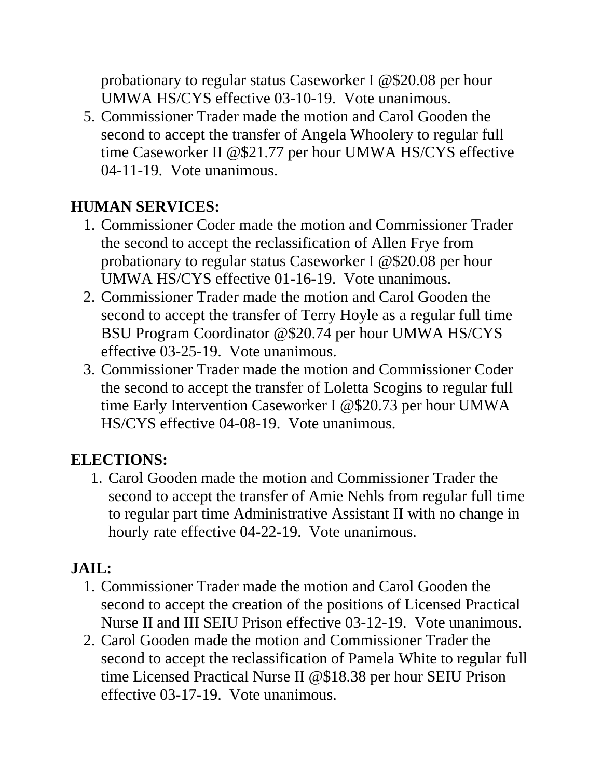probationary to regular status Caseworker I @\$20.08 per hour UMWA HS/CYS effective 03-10-19. Vote unanimous.

5. Commissioner Trader made the motion and Carol Gooden the second to accept the transfer of Angela Whoolery to regular full time Caseworker II @\$21.77 per hour UMWA HS/CYS effective 04-11-19. Vote unanimous.

# **HUMAN SERVICES:**

- 1. Commissioner Coder made the motion and Commissioner Trader the second to accept the reclassification of Allen Frye from probationary to regular status Caseworker I @\$20.08 per hour UMWA HS/CYS effective 01-16-19. Vote unanimous.
- 2. Commissioner Trader made the motion and Carol Gooden the second to accept the transfer of Terry Hoyle as a regular full time BSU Program Coordinator @\$20.74 per hour UMWA HS/CYS effective 03-25-19. Vote unanimous.
- 3. Commissioner Trader made the motion and Commissioner Coder the second to accept the transfer of Loletta Scogins to regular full time Early Intervention Caseworker I @\$20.73 per hour UMWA HS/CYS effective 04-08-19. Vote unanimous.

# **ELECTIONS:**

1. Carol Gooden made the motion and Commissioner Trader the second to accept the transfer of Amie Nehls from regular full time to regular part time Administrative Assistant II with no change in hourly rate effective 04-22-19. Vote unanimous.

## **JAIL:**

- 1. Commissioner Trader made the motion and Carol Gooden the second to accept the creation of the positions of Licensed Practical Nurse II and III SEIU Prison effective 03-12-19. Vote unanimous.
- 2. Carol Gooden made the motion and Commissioner Trader the second to accept the reclassification of Pamela White to regular full time Licensed Practical Nurse II @\$18.38 per hour SEIU Prison effective 03-17-19. Vote unanimous.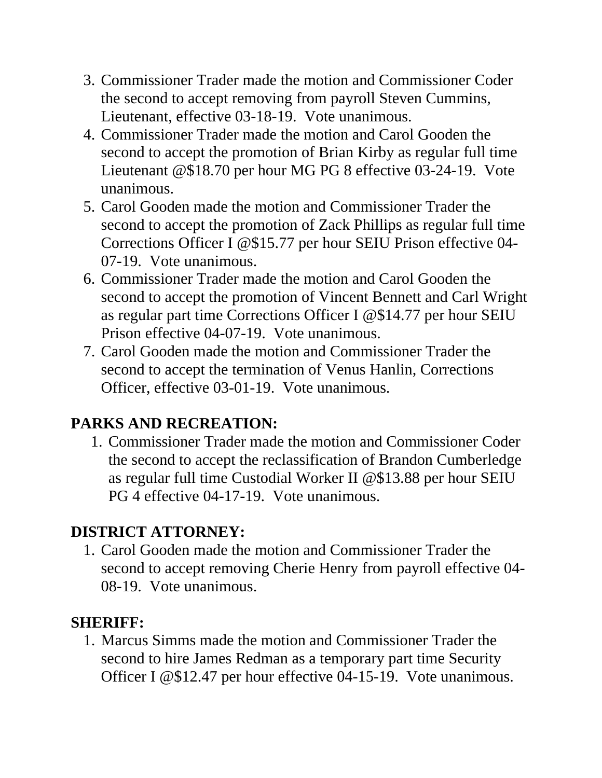- 3. Commissioner Trader made the motion and Commissioner Coder the second to accept removing from payroll Steven Cummins, Lieutenant, effective 03-18-19. Vote unanimous.
- 4. Commissioner Trader made the motion and Carol Gooden the second to accept the promotion of Brian Kirby as regular full time Lieutenant @\$18.70 per hour MG PG 8 effective 03-24-19. Vote unanimous.
- 5. Carol Gooden made the motion and Commissioner Trader the second to accept the promotion of Zack Phillips as regular full time Corrections Officer I @\$15.77 per hour SEIU Prison effective 04- 07-19. Vote unanimous.
- 6. Commissioner Trader made the motion and Carol Gooden the second to accept the promotion of Vincent Bennett and Carl Wright as regular part time Corrections Officer I @\$14.77 per hour SEIU Prison effective 04-07-19. Vote unanimous.
- 7. Carol Gooden made the motion and Commissioner Trader the second to accept the termination of Venus Hanlin, Corrections Officer, effective 03-01-19. Vote unanimous.

# **PARKS AND RECREATION:**

1. Commissioner Trader made the motion and Commissioner Coder the second to accept the reclassification of Brandon Cumberledge as regular full time Custodial Worker II @\$13.88 per hour SEIU PG 4 effective 04-17-19. Vote unanimous.

# **DISTRICT ATTORNEY:**

1. Carol Gooden made the motion and Commissioner Trader the second to accept removing Cherie Henry from payroll effective 04- 08-19. Vote unanimous.

## **SHERIFF:**

1. Marcus Simms made the motion and Commissioner Trader the second to hire James Redman as a temporary part time Security Officer I @\$12.47 per hour effective 04-15-19. Vote unanimous.